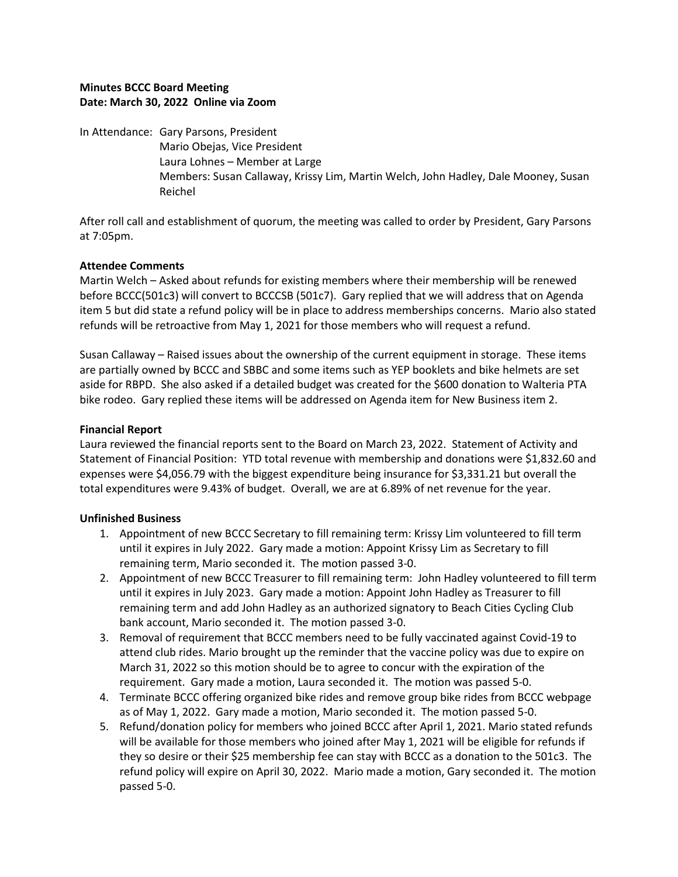## **Minutes BCCC Board Meeting Date: March 30, 2022 Online via Zoom**

In Attendance: Gary Parsons, President Mario Obejas, Vice President Laura Lohnes – Member at Large Members: Susan Callaway, Krissy Lim, Martin Welch, John Hadley, Dale Mooney, Susan Reichel

After roll call and establishment of quorum, the meeting was called to order by President, Gary Parsons at 7:05pm.

## **Attendee Comments**

Martin Welch – Asked about refunds for existing members where their membership will be renewed before BCCC(501c3) will convert to BCCCSB (501c7). Gary replied that we will address that on Agenda item 5 but did state a refund policy will be in place to address memberships concerns. Mario also stated refunds will be retroactive from May 1, 2021 for those members who will request a refund.

Susan Callaway – Raised issues about the ownership of the current equipment in storage. These items are partially owned by BCCC and SBBC and some items such as YEP booklets and bike helmets are set aside for RBPD. She also asked if a detailed budget was created for the \$600 donation to Walteria PTA bike rodeo. Gary replied these items will be addressed on Agenda item for New Business item 2.

# **Financial Report**

Laura reviewed the financial reports sent to the Board on March 23, 2022. Statement of Activity and Statement of Financial Position: YTD total revenue with membership and donations were \$1,832.60 and expenses were \$4,056.79 with the biggest expenditure being insurance for \$3,331.21 but overall the total expenditures were 9.43% of budget. Overall, we are at 6.89% of net revenue for the year.

## **Unfinished Business**

- 1. Appointment of new BCCC Secretary to fill remaining term: Krissy Lim volunteered to fill term until it expires in July 2022. Gary made a motion: Appoint Krissy Lim as Secretary to fill remaining term, Mario seconded it. The motion passed 3-0.
- 2. Appointment of new BCCC Treasurer to fill remaining term: John Hadley volunteered to fill term until it expires in July 2023. Gary made a motion: Appoint John Hadley as Treasurer to fill remaining term and add John Hadley as an authorized signatory to Beach Cities Cycling Club bank account, Mario seconded it. The motion passed 3-0.
- 3. Removal of requirement that BCCC members need to be fully vaccinated against Covid-19 to attend club rides. Mario brought up the reminder that the vaccine policy was due to expire on March 31, 2022 so this motion should be to agree to concur with the expiration of the requirement. Gary made a motion, Laura seconded it. The motion was passed 5-0.
- 4. Terminate BCCC offering organized bike rides and remove group bike rides from BCCC webpage as of May 1, 2022. Gary made a motion, Mario seconded it. The motion passed 5-0.
- 5. Refund/donation policy for members who joined BCCC after April 1, 2021. Mario stated refunds will be available for those members who joined after May 1, 2021 will be eligible for refunds if they so desire or their \$25 membership fee can stay with BCCC as a donation to the 501c3. The refund policy will expire on April 30, 2022. Mario made a motion, Gary seconded it. The motion passed 5-0.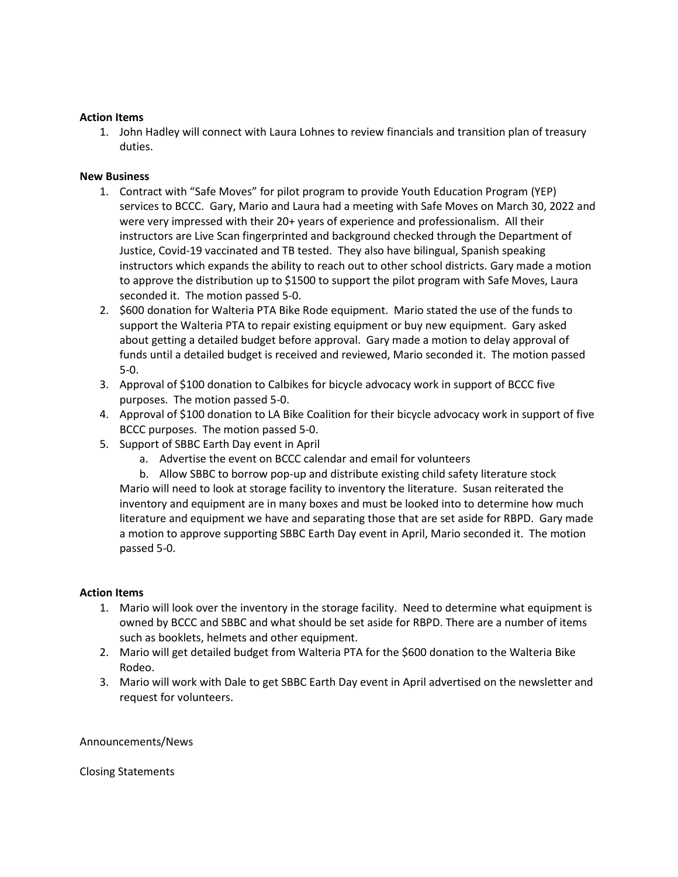### **Action Items**

1. John Hadley will connect with Laura Lohnes to review financials and transition plan of treasury duties.

### **New Business**

- 1. Contract with "Safe Moves" for pilot program to provide Youth Education Program (YEP) services to BCCC. Gary, Mario and Laura had a meeting with Safe Moves on March 30, 2022 and were very impressed with their 20+ years of experience and professionalism. All their instructors are Live Scan fingerprinted and background checked through the Department of Justice, Covid-19 vaccinated and TB tested. They also have bilingual, Spanish speaking instructors which expands the ability to reach out to other school districts. Gary made a motion to approve the distribution up to \$1500 to support the pilot program with Safe Moves, Laura seconded it. The motion passed 5-0.
- 2. \$600 donation for Walteria PTA Bike Rode equipment. Mario stated the use of the funds to support the Walteria PTA to repair existing equipment or buy new equipment. Gary asked about getting a detailed budget before approval. Gary made a motion to delay approval of funds until a detailed budget is received and reviewed, Mario seconded it. The motion passed 5-0.
- 3. Approval of \$100 donation to Calbikes for bicycle advocacy work in support of BCCC five purposes. The motion passed 5-0.
- 4. Approval of \$100 donation to LA Bike Coalition for their bicycle advocacy work in support of five BCCC purposes. The motion passed 5-0.
- 5. Support of SBBC Earth Day event in April
	- a. Advertise the event on BCCC calendar and email for volunteers
	- b. Allow SBBC to borrow pop-up and distribute existing child safety literature stock Mario will need to look at storage facility to inventory the literature. Susan reiterated the inventory and equipment are in many boxes and must be looked into to determine how much literature and equipment we have and separating those that are set aside for RBPD. Gary made a motion to approve supporting SBBC Earth Day event in April, Mario seconded it. The motion passed 5-0.

#### **Action Items**

- 1. Mario will look over the inventory in the storage facility. Need to determine what equipment is owned by BCCC and SBBC and what should be set aside for RBPD. There are a number of items such as booklets, helmets and other equipment.
- 2. Mario will get detailed budget from Walteria PTA for the \$600 donation to the Walteria Bike Rodeo.
- 3. Mario will work with Dale to get SBBC Earth Day event in April advertised on the newsletter and request for volunteers.

#### Announcements/News

Closing Statements